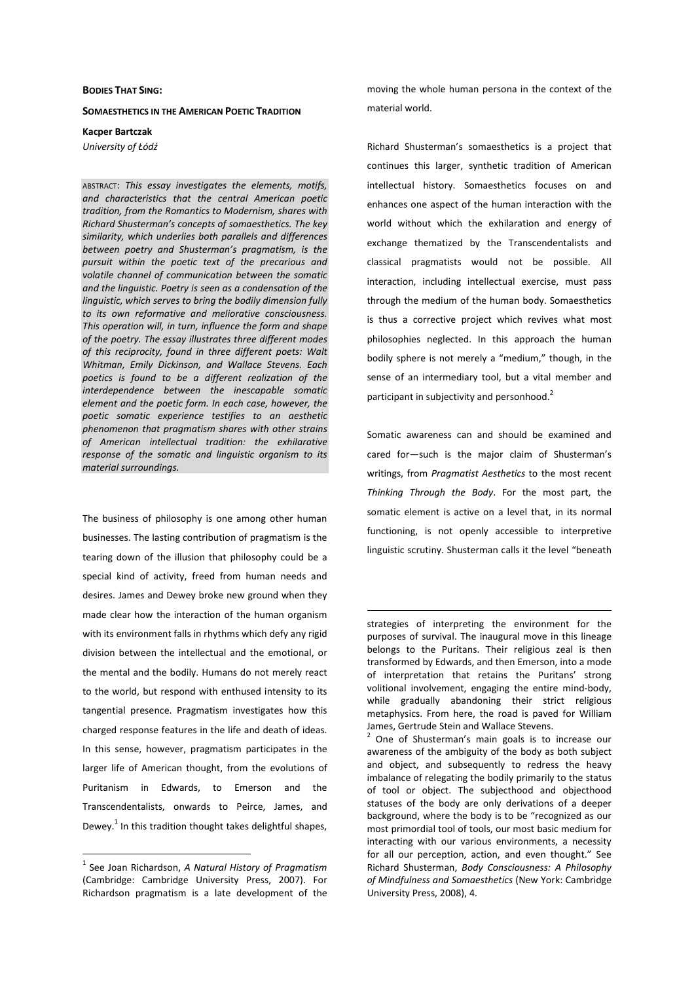## **BODIES THAT SING:**

## **SOMAESTHETICS IN THE AMERICAN POETIC TRADITION**

**Kacper Bartczak** 

*University of Łódź* 

ABSTRACT: *This essay investigates the elements, motifs, and characteristics that the central American poetic tradition, from the Romantics to Modernism, shares with Richard Shusterman's concepts of somaesthetics. The key similarity, which underlies both parallels and differences between poetry and Shusterman's pragmatism, is the pursuit within the poetic text of the precarious and volatile channel of communication between the somatic and the linguistic. Poetry is seen as a condensation of the linguistic, which serves to bring the bodily dimension fully to its own reformative and meliorative consciousness. This operation will, in turn, influence the form and shape of the poetry. The essay illustrates three different modes of this reciprocity, found in three different poets: Walt Whitman, Emily Dickinson, and Wallace Stevens. Each poetics is found to be a different realization of the interdependence between the inescapable somatic element and the poetic form. In each case, however, the poetic somatic experience testifies to an aesthetic phenomenon that pragmatism shares with other strains of American intellectual tradition: the exhilarative response of the somatic and linguistic organism to its material surroundings.* 

The business of philosophy is one among other human businesses. The lasting contribution of pragmatism is the tearing down of the illusion that philosophy could be a special kind of activity, freed from human needs and desires. James and Dewey broke new ground when they made clear how the interaction of the human organism with its environment falls in rhythms which defy any rigid division between the intellectual and the emotional, or the mental and the bodily. Humans do not merely react to the world, but respond with enthused intensity to its tangential presence. Pragmatism investigates how this charged response features in the life and death of ideas. In this sense, however, pragmatism participates in the larger life of American thought, from the evolutions of Puritanism in Edwards, to Emerson and the Transcendentalists, onwards to Peirce, James, and Dewey.<sup>1</sup> In this tradition thought takes delightful shapes,

 $\overline{a}$ 

moving the whole human persona in the context of the material world.

Richard Shusterman's somaesthetics is a project that continues this larger, synthetic tradition of American intellectual history. Somaesthetics focuses on and enhances one aspect of the human interaction with the world without which the exhilaration and energy of exchange thematized by the Transcendentalists and classical pragmatists would not be possible. All interaction, including intellectual exercise, must pass through the medium of the human body. Somaesthetics is thus a corrective project which revives what most philosophies neglected. In this approach the human bodily sphere is not merely a "medium," though, in the sense of an intermediary tool, but a vital member and participant in subjectivity and personhood.<sup>2</sup>

Somatic awareness can and should be examined and cared for—such is the major claim of Shusterman's writings, from *Pragmatist Aesthetics* to the most recent *Thinking Through the Body*. For the most part, the somatic element is active on a level that, in its normal functioning, is not openly accessible to interpretive linguistic scrutiny. Shusterman calls it the level "beneath

 $\overline{a}$ 

<sup>2</sup> One of Shusterman's main goals is to increase our awareness of the ambiguity of the body as both subject and object, and subsequently to redress the heavy imbalance of relegating the bodily primarily to the status of tool or object. The subjecthood and objecthood statuses of the body are only derivations of a deeper background, where the body is to be "recognized as our most primordial tool of tools, our most basic medium for interacting with our various environments, a necessity for all our perception, action, and even thought." See Richard Shusterman, *Body Consciousness: A Philosophy of Mindfulness and Somaesthetics* (New York: Cambridge University Press, 2008), 4.

<sup>1</sup> See Joan Richardson, *A Natural History of Pragmatism*  (Cambridge: Cambridge University Press, 2007). For Richardson pragmatism is a late development of the

strategies of interpreting the environment for the purposes of survival. The inaugural move in this lineage belongs to the Puritans. Their religious zeal is then transformed by Edwards, and then Emerson, into a mode of interpretation that retains the Puritans' strong volitional involvement, engaging the entire mind-body, while gradually abandoning their strict religious metaphysics. From here, the road is paved for William James, Gertrude Stein and Wallace Stevens.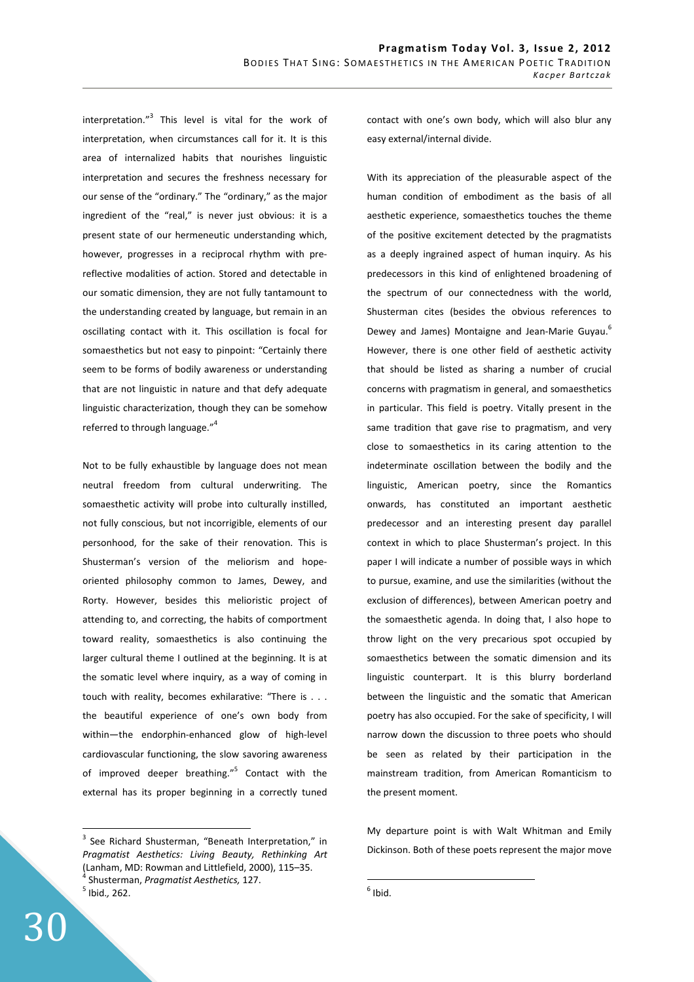interpretation."<sup>3</sup> This level is vital for the work of interpretation, when circumstances call for it. It is this area of internalized habits that nourishes linguistic interpretation and secures the freshness necessary for our sense of the "ordinary." The "ordinary," as the major ingredient of the "real," is never just obvious: it is a present state of our hermeneutic understanding which, however, progresses in a reciprocal rhythm with prereflective modalities of action. Stored and detectable in our somatic dimension, they are not fully tantamount to the understanding created by language, but remain in an oscillating contact with it. This oscillation is focal for somaesthetics but not easy to pinpoint: "Certainly there seem to be forms of bodily awareness or understanding that are not linguistic in nature and that defy adequate linguistic characterization, though they can be somehow referred to through language."<sup>4</sup>

Not to be fully exhaustible by language does not mean neutral freedom from cultural underwriting. The somaesthetic activity will probe into culturally instilled, not fully conscious, but not incorrigible, elements of our personhood, for the sake of their renovation. This is Shusterman's version of the meliorism and hopeoriented philosophy common to James, Dewey, and Rorty. However, besides this melioristic project of attending to, and correcting, the habits of comportment toward reality, somaesthetics is also continuing the larger cultural theme I outlined at the beginning. It is at the somatic level where inquiry, as a way of coming in touch with reality, becomes exhilarative: "There is . . . the beautiful experience of one's own body from within—the endorphin-enhanced glow of high-level cardiovascular functioning, the slow savoring awareness of improved deeper breathing."<sup>5</sup> Contact with the external has its proper beginning in a correctly tuned

5 Ibid.*,* 262.

 $\overline{a}$ 

With its appreciation of the pleasurable aspect of the human condition of embodiment as the basis of all aesthetic experience, somaesthetics touches the theme of the positive excitement detected by the pragmatists as a deeply ingrained aspect of human inquiry. As his predecessors in this kind of enlightened broadening of the spectrum of our connectedness with the world, Shusterman cites (besides the obvious references to Dewey and James) Montaigne and Jean-Marie Guyau.<sup>6</sup> However, there is one other field of aesthetic activity that should be listed as sharing a number of crucial concerns with pragmatism in general, and somaesthetics in particular. This field is poetry. Vitally present in the same tradition that gave rise to pragmatism, and very close to somaesthetics in its caring attention to the indeterminate oscillation between the bodily and the linguistic, American poetry, since the Romantics onwards, has constituted an important aesthetic predecessor and an interesting present day parallel context in which to place Shusterman's project. In this paper I will indicate a number of possible ways in which to pursue, examine, and use the similarities (without the exclusion of differences), between American poetry and the somaesthetic agenda. In doing that, I also hope to throw light on the very precarious spot occupied by somaesthetics between the somatic dimension and its linguistic counterpart. It is this blurry borderland between the linguistic and the somatic that American poetry has also occupied. For the sake of specificity, I will narrow down the discussion to three poets who should be seen as related by their participation in the mainstream tradition, from American Romanticism to the present moment.

My departure point is with Walt Whitman and Emily Dickinson. Both of these poets represent the major move

<sup>&</sup>lt;sup>3</sup> See Richard Shusterman, "Beneath Interpretation," in *Pragmatist Aesthetics: Living Beauty, Rethinking Art*  (Lanham, MD: Rowman and Littlefield, 2000), 115–35. 4 Shusterman, *Pragmatist Aesthetics,* 127.

contact with one's own body, which will also blur any easy external/internal divide.

 $\overline{a}$  $<sup>6</sup>$  Ibid.</sup>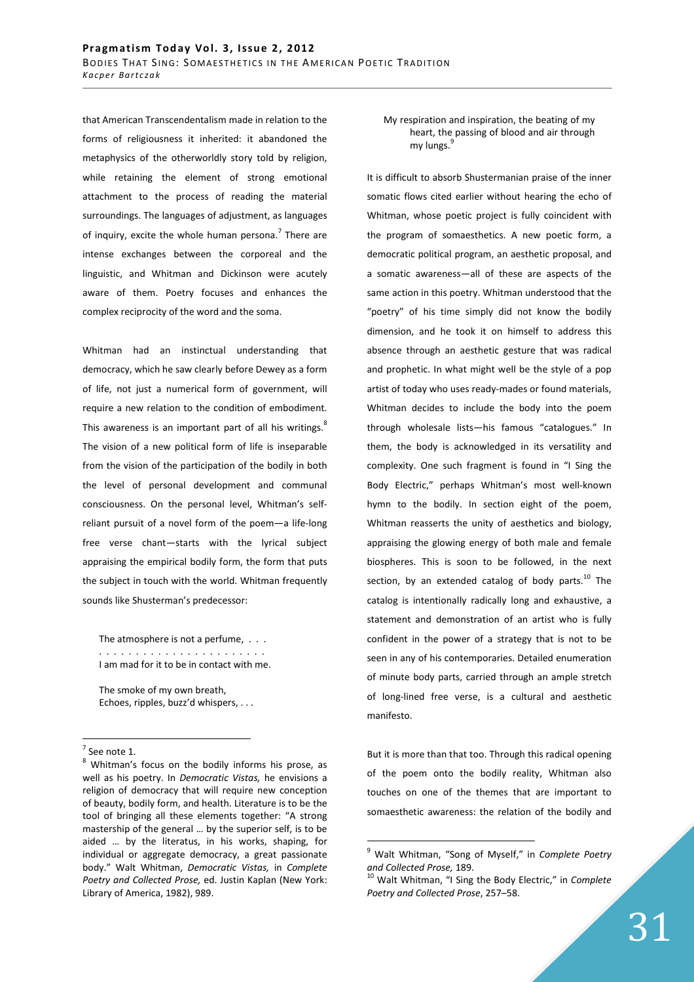that American Transcendentalism made in relation to the forms of religiousness it inherited: it abandoned the metaphysics of the otherworldly story told by religion, while retaining the element of strong emotional attachment to the process of reading the material surroundings. The languages of adjustment, as languages of inquiry, excite the whole human persona.<sup>7</sup> There are intense exchanges between the corporeal and the linguistic, and Whitman and Dickinson were acutely aware of them. Poetry focuses and enhances the complex reciprocity of the word and the soma.

Whitman had an instinctual understanding that democracy, which he saw clearly before Dewey as a form of life, not just a numerical form of government, will require a new relation to the condition of embodiment. This awareness is an important part of all his writings.<sup>8</sup> The vision of a new political form of life is inseparable from the vision of the participation of the bodily in both the level of personal development and communal consciousness. On the personal level, Whitman's selfreliant pursuit of a novel form of the poem—a life-long free verse chant—starts with the lyrical subject appraising the empirical bodily form, the form that puts the subject in touch with the world. Whitman frequently sounds like Shusterman's predecessor:

The atmosphere is not a perfume. . . . . . . . . . . . . . . . . . . . . . . . . . . I am mad for it to be in contact with me.

The smoke of my own breath, Echoes, ripples, buzz'd whispers, . . .

 $\overline{a}$ 

My respiration and inspiration, the beating of my heart, the passing of blood and air through my lungs.

It is difficult to absorb Shustermanian praise of the inner somatic flows cited earlier without hearing the echo of Whitman, whose poetic project is fully coincident with the program of somaesthetics. A new poetic form, a democratic political program, an aesthetic proposal, and a somatic awareness—all of these are aspects of the same action in this poetry. Whitman understood that the "poetry" of his time simply did not know the bodily dimension, and he took it on himself to address this absence through an aesthetic gesture that was radical and prophetic. In what might well be the style of a pop artist of today who uses ready-mades or found materials, Whitman decides to include the body into the poem through wholesale lists—his famous "catalogues." In them, the body is acknowledged in its versatility and complexity. One such fragment is found in "I Sing the Body Electric," perhaps Whitman's most well-known hymn to the bodily. In section eight of the poem, Whitman reasserts the unity of aesthetics and biology, appraising the glowing energy of both male and female biospheres. This is soon to be followed, in the next section, by an extended catalog of body parts. $^{10}$  The catalog is intentionally radically long and exhaustive, a statement and demonstration of an artist who is fully confident in the power of a strategy that is not to be seen in any of his contemporaries. Detailed enumeration of minute body parts, carried through an ample stretch of long-lined free verse, is a cultural and aesthetic manifesto.

But it is more than that too. Through this radical opening of the poem onto the bodily reality, Whitman also touches on one of the themes that are important to somaesthetic awareness: the relation of the bodily and

 $<sup>7</sup>$  See note 1.</sup> 8

Whitman's focus on the bodily informs his prose, as well as his poetry. In *Democratic Vistas,* he envisions a religion of democracy that will require new conception of beauty, bodily form, and health. Literature is to be the tool of bringing all these elements together: "A strong mastership of the general … by the superior self, is to be aided … by the literatus, in his works, shaping, for individual or aggregate democracy, a great passionate body." Walt Whitman, *Democratic Vistas,* in *Complete Poetry and Collected Prose,* ed. Justin Kaplan (New York: Library of America, 1982), 989.

<sup>9</sup> Walt Whitman, "Song of Myself," in *Complete Poetry and Collected Prose,* 189.

<sup>10</sup> Walt Whitman, "I Sing the Body Electric," in *Complete Poetry and Collected Prose*, 257–58.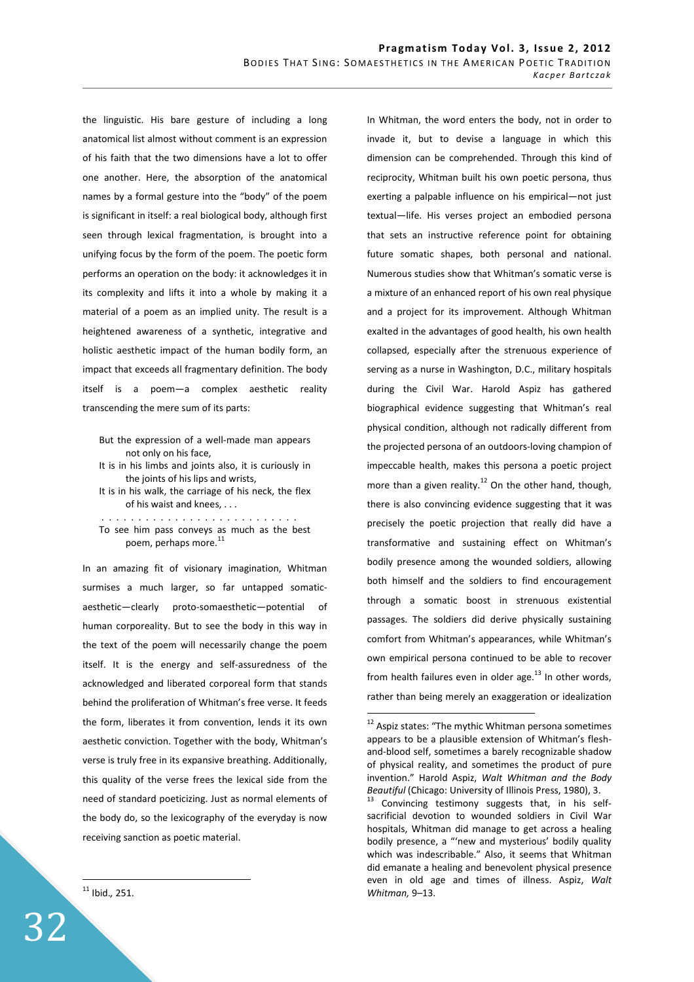the linguistic. His bare gesture of including a long anatomical list almost without comment is an expression of his faith that the two dimensions have a lot to offer one another. Here, the absorption of the anatomical names by a formal gesture into the "body" of the poem is significant in itself: a real biological body, although first seen through lexical fragmentation, is brought into a unifying focus by the form of the poem. The poetic form performs an operation on the body: it acknowledges it in its complexity and lifts it into a whole by making it a material of a poem as an implied unity. The result is a heightened awareness of a synthetic, integrative and holistic aesthetic impact of the human bodily form, an impact that exceeds all fragmentary definition. The body itself is a poem—a complex aesthetic reality transcending the mere sum of its parts:

It is in his walk, the carriage of his neck, the flex of his waist and knees, . . .

 . . . . . . . . . . . . . . . . . . . . . . . . . . . To see him pass conveys as much as the best poem, perhaps more.<sup>11</sup>

In an amazing fit of visionary imagination, Whitman surmises a much larger, so far untapped somaticaesthetic—clearly proto-somaesthetic—potential of human corporeality. But to see the body in this way in the text of the poem will necessarily change the poem itself. It is the energy and self-assuredness of the acknowledged and liberated corporeal form that stands behind the proliferation of Whitman's free verse. It feeds the form, liberates it from convention, lends it its own aesthetic conviction. Together with the body, Whitman's verse is truly free in its expansive breathing. Additionally, this quality of the verse frees the lexical side from the need of standard poeticizing. Just as normal elements of the body do, so the lexicography of the everyday is now receiving sanction as poetic material.

In Whitman, the word enters the body, not in order to invade it, but to devise a language in which this dimension can be comprehended. Through this kind of reciprocity, Whitman built his own poetic persona, thus exerting a palpable influence on his empirical—not just textual—life. His verses project an embodied persona that sets an instructive reference point for obtaining future somatic shapes, both personal and national. Numerous studies show that Whitman's somatic verse is a mixture of an enhanced report of his own real physique and a project for its improvement. Although Whitman exalted in the advantages of good health, his own health collapsed, especially after the strenuous experience of serving as a nurse in Washington, D.C., military hospitals during the Civil War. Harold Aspiz has gathered biographical evidence suggesting that Whitman's real physical condition, although not radically different from the projected persona of an outdoors-loving champion of impeccable health, makes this persona a poetic project more than a given reality.<sup>12</sup> On the other hand, though, there is also convincing evidence suggesting that it was precisely the poetic projection that really did have a transformative and sustaining effect on Whitman's bodily presence among the wounded soldiers, allowing both himself and the soldiers to find encouragement through a somatic boost in strenuous existential passages. The soldiers did derive physically sustaining comfort from Whitman's appearances, while Whitman's own empirical persona continued to be able to recover from health failures even in older age. $^{13}$  In other words, rather than being merely an exaggeration or idealization

 $\overline{a}$ 

32

But the expression of a well-made man appears not only on his face,

It is in his limbs and joints also, it is curiously in the joints of his lips and wrists,

<sup>&</sup>lt;sup>12</sup> Aspiz states: "The mythic Whitman persona sometimes appears to be a plausible extension of Whitman's fleshand-blood self, sometimes a barely recognizable shadow of physical reality, and sometimes the product of pure invention." Harold Aspiz, *Walt Whitman and the Body Beautiful* (Chicago: University of Illinois Press, 1980), 3.

Convincing testimony suggests that, in his selfsacrificial devotion to wounded soldiers in Civil War hospitals, Whitman did manage to get across a healing bodily presence, a "'new and mysterious' bodily quality which was indescribable." Also, it seems that Whitman did emanate a healing and benevolent physical presence even in old age and times of illness. Aspiz, *Walt Whitman,* 9–13.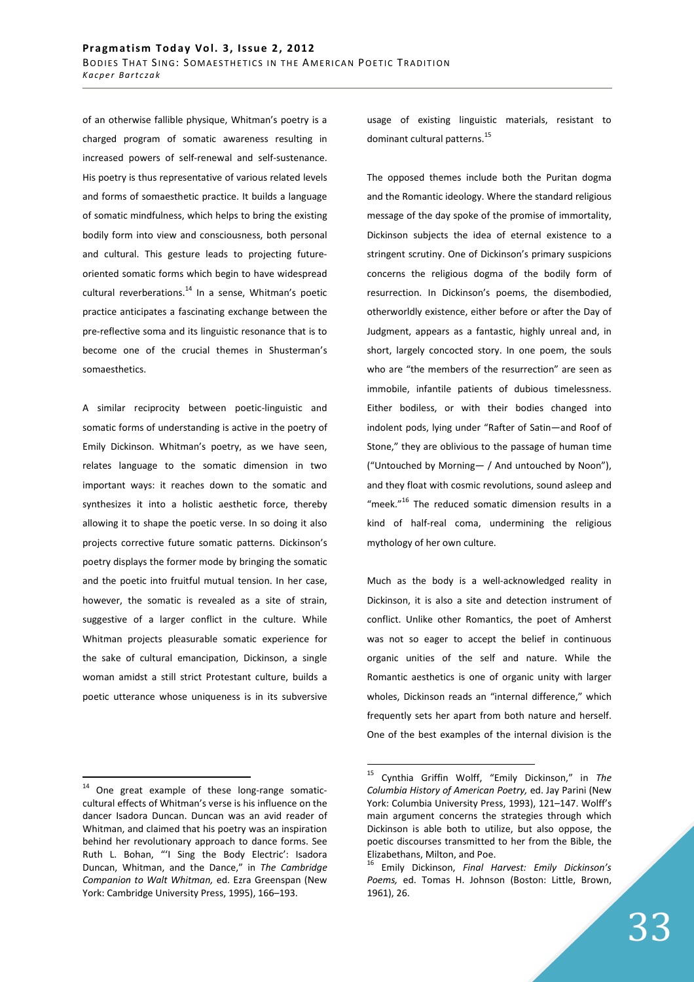of an otherwise fallible physique, Whitman's poetry is a charged program of somatic awareness resulting in increased powers of self-renewal and self-sustenance. His poetry is thus representative of various related levels and forms of somaesthetic practice. It builds a language of somatic mindfulness, which helps to bring the existing bodily form into view and consciousness, both personal and cultural. This gesture leads to projecting futureoriented somatic forms which begin to have widespread cultural reverberations. $14$  In a sense, Whitman's poetic practice anticipates a fascinating exchange between the pre-reflective soma and its linguistic resonance that is to become one of the crucial themes in Shusterman's somaesthetics.

A similar reciprocity between poetic-linguistic and somatic forms of understanding is active in the poetry of Emily Dickinson. Whitman's poetry, as we have seen, relates language to the somatic dimension in two important ways: it reaches down to the somatic and synthesizes it into a holistic aesthetic force, thereby allowing it to shape the poetic verse. In so doing it also projects corrective future somatic patterns. Dickinson's poetry displays the former mode by bringing the somatic and the poetic into fruitful mutual tension. In her case, however, the somatic is revealed as a site of strain, suggestive of a larger conflict in the culture. While Whitman projects pleasurable somatic experience for the sake of cultural emancipation, Dickinson, a single woman amidst a still strict Protestant culture, builds a poetic utterance whose uniqueness is in its subversive

 $\overline{a}$ 

usage of existing linguistic materials, resistant to dominant cultural patterns.<sup>15</sup>

The opposed themes include both the Puritan dogma and the Romantic ideology. Where the standard religious message of the day spoke of the promise of immortality, Dickinson subjects the idea of eternal existence to a stringent scrutiny. One of Dickinson's primary suspicions concerns the religious dogma of the bodily form of resurrection. In Dickinson's poems, the disembodied, otherworldly existence, either before or after the Day of Judgment, appears as a fantastic, highly unreal and, in short, largely concocted story. In one poem, the souls who are "the members of the resurrection" are seen as immobile, infantile patients of dubious timelessness. Either bodiless, or with their bodies changed into indolent pods, lying under "Rafter of Satin—and Roof of Stone," they are oblivious to the passage of human time ("Untouched by Morning— / And untouched by Noon"), and they float with cosmic revolutions, sound asleep and "meek."<sup>16</sup> The reduced somatic dimension results in a kind of half-real coma, undermining the religious mythology of her own culture.

Much as the body is a well-acknowledged reality in Dickinson, it is also a site and detection instrument of conflict. Unlike other Romantics, the poet of Amherst was not so eager to accept the belief in continuous organic unities of the self and nature. While the Romantic aesthetics is one of organic unity with larger wholes, Dickinson reads an "internal difference," which frequently sets her apart from both nature and herself. One of the best examples of the internal division is the

<sup>14</sup> One great example of these long-range somaticcultural effects of Whitman's verse is his influence on the dancer Isadora Duncan. Duncan was an avid reader of Whitman, and claimed that his poetry was an inspiration behind her revolutionary approach to dance forms. See Ruth L. Bohan, "'I Sing the Body Electric': Isadora Duncan, Whitman, and the Dance," in *The Cambridge Companion to Walt Whitman,* ed. Ezra Greenspan (New York: Cambridge University Press, 1995), 166–193.

<sup>15</sup> Cynthia Griffin Wolff, "Emily Dickinson," in *The Columbia History of American Poetry,* ed. Jay Parini (New York: Columbia University Press, 1993), 121–147. Wolff's main argument concerns the strategies through which Dickinson is able both to utilize, but also oppose, the poetic discourses transmitted to her from the Bible, the Elizabethans, Milton, and Poe.

<sup>16</sup> Emily Dickinson, *Final Harvest: Emily Dickinson's Poems,* ed. Tomas H. Johnson (Boston: Little, Brown, 1961), 26.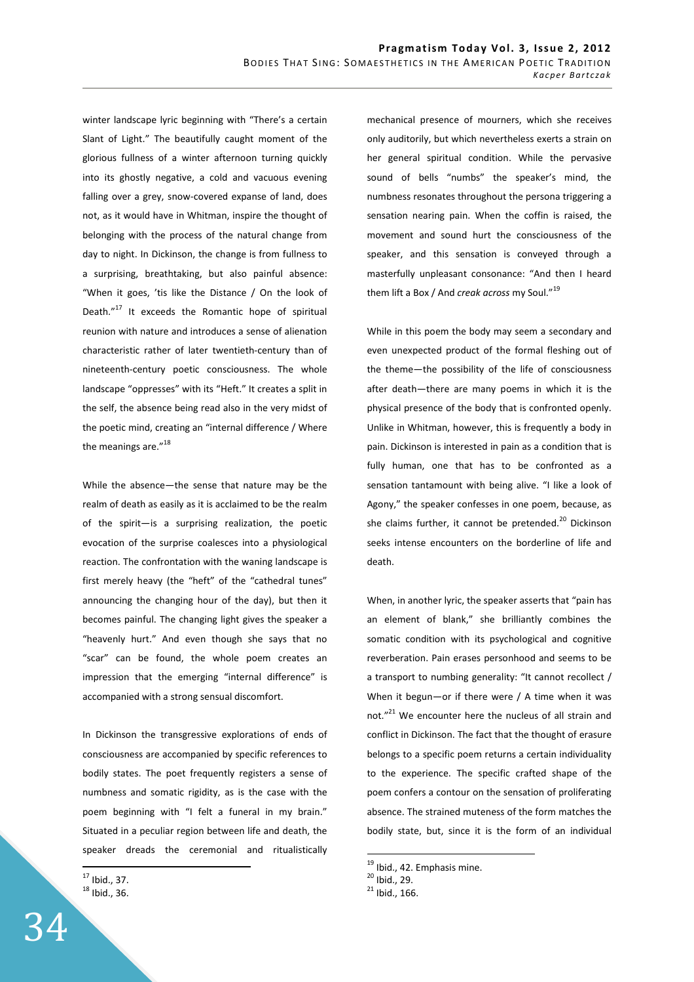winter landscape lyric beginning with "There's a certain Slant of Light." The beautifully caught moment of the glorious fullness of a winter afternoon turning quickly into its ghostly negative, a cold and vacuous evening falling over a grey, snow-covered expanse of land, does not, as it would have in Whitman, inspire the thought of belonging with the process of the natural change from day to night. In Dickinson, the change is from fullness to a surprising, breathtaking, but also painful absence: "When it goes, 'tis like the Distance / On the look of Death."<sup>17</sup> It exceeds the Romantic hope of spiritual reunion with nature and introduces a sense of alienation characteristic rather of later twentieth-century than of nineteenth-century poetic consciousness. The whole landscape "oppresses" with its "Heft." It creates a split in the self, the absence being read also in the very midst of the poetic mind, creating an "internal difference / Where the meanings are."<sup>18</sup>

While the absence—the sense that nature may be the realm of death as easily as it is acclaimed to be the realm of the spirit—is a surprising realization, the poetic evocation of the surprise coalesces into a physiological reaction. The confrontation with the waning landscape is first merely heavy (the "heft" of the "cathedral tunes" announcing the changing hour of the day), but then it becomes painful. The changing light gives the speaker a "heavenly hurt." And even though she says that no "scar" can be found, the whole poem creates an impression that the emerging "internal difference" is accompanied with a strong sensual discomfort.

In Dickinson the transgressive explorations of ends of consciousness are accompanied by specific references to bodily states. The poet frequently registers a sense of numbness and somatic rigidity, as is the case with the poem beginning with "I felt a funeral in my brain." Situated in a peculiar region between life and death, the speaker dreads the ceremonial and ritualistically

 $17$  Ibid., 37. <sup>18</sup> Ibid., 36.

 $\overline{a}$ 

mechanical presence of mourners, which she receives only auditorily, but which nevertheless exerts a strain on her general spiritual condition. While the pervasive sound of bells "numbs" the speaker's mind, the numbness resonates throughout the persona triggering a sensation nearing pain. When the coffin is raised, the movement and sound hurt the consciousness of the speaker, and this sensation is conveyed through a masterfully unpleasant consonance: "And then I heard them lift a Box / And *creak across* my Soul."<sup>19</sup>

While in this poem the body may seem a secondary and even unexpected product of the formal fleshing out of the theme—the possibility of the life of consciousness after death—there are many poems in which it is the physical presence of the body that is confronted openly. Unlike in Whitman, however, this is frequently a body in pain. Dickinson is interested in pain as a condition that is fully human, one that has to be confronted as a sensation tantamount with being alive. "I like a look of Agony," the speaker confesses in one poem, because, as she claims further, it cannot be pretended.<sup>20</sup> Dickinson seeks intense encounters on the borderline of life and death.

When, in another lyric, the speaker asserts that "pain has an element of blank," she brilliantly combines the somatic condition with its psychological and cognitive reverberation. Pain erases personhood and seems to be a transport to numbing generality: "It cannot recollect / When it begun—or if there were / A time when it was not."<sup>21</sup> We encounter here the nucleus of all strain and conflict in Dickinson. The fact that the thought of erasure belongs to a specific poem returns a certain individuality to the experience. The specific crafted shape of the poem confers a contour on the sensation of proliferating absence. The strained muteness of the form matches the bodily state, but, since it is the form of an individual

<sup>&</sup>lt;sup>19</sup> Ibid., 42. Emphasis mine.

 $20$  Ibid., 29.

 $21$  Ibid., 166.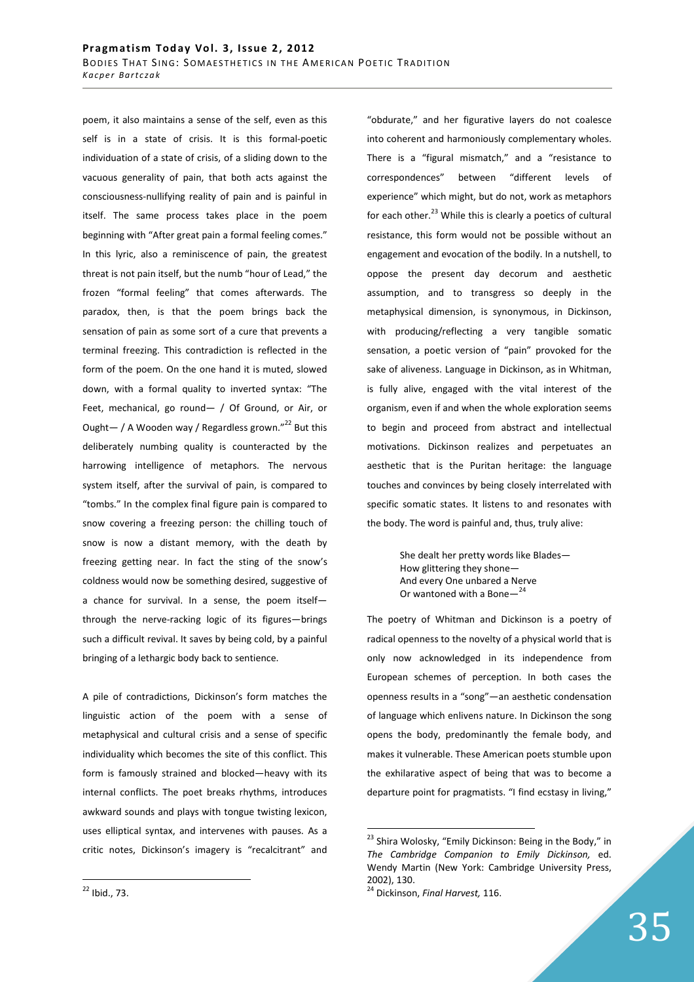poem, it also maintains a sense of the self, even as this self is in a state of crisis. It is this formal-poetic individuation of a state of crisis, of a sliding down to the vacuous generality of pain, that both acts against the consciousness-nullifying reality of pain and is painful in itself. The same process takes place in the poem beginning with "After great pain a formal feeling comes." In this lyric, also a reminiscence of pain, the greatest threat is not pain itself, but the numb "hour of Lead," the frozen "formal feeling" that comes afterwards. The paradox, then, is that the poem brings back the sensation of pain as some sort of a cure that prevents a terminal freezing. This contradiction is reflected in the form of the poem. On the one hand it is muted, slowed down, with a formal quality to inverted syntax: "The Feet, mechanical, go round— / Of Ground, or Air, or Ought  $-$  / A Wooden way / Regardless grown."<sup>22</sup> But this deliberately numbing quality is counteracted by the harrowing intelligence of metaphors. The nervous system itself, after the survival of pain, is compared to "tombs." In the complex final figure pain is compared to snow covering a freezing person: the chilling touch of snow is now a distant memory, with the death by freezing getting near. In fact the sting of the snow's coldness would now be something desired, suggestive of a chance for survival. In a sense, the poem itself through the nerve-racking logic of its figures—brings such a difficult revival. It saves by being cold, by a painful bringing of a lethargic body back to sentience.

A pile of contradictions, Dickinson's form matches the linguistic action of the poem with a sense of metaphysical and cultural crisis and a sense of specific individuality which becomes the site of this conflict. This form is famously strained and blocked—heavy with its internal conflicts. The poet breaks rhythms, introduces awkward sounds and plays with tongue twisting lexicon, uses elliptical syntax, and intervenes with pauses. As a critic notes, Dickinson's imagery is "recalcitrant" and "obdurate," and her figurative layers do not coalesce into coherent and harmoniously complementary wholes. There is a "figural mismatch," and a "resistance to correspondences" between "different levels of experience" which might, but do not, work as metaphors for each other. $^{23}$  While this is clearly a poetics of cultural resistance, this form would not be possible without an engagement and evocation of the bodily. In a nutshell, to oppose the present day decorum and aesthetic assumption, and to transgress so deeply in the metaphysical dimension, is synonymous, in Dickinson, with producing/reflecting a very tangible somatic sensation, a poetic version of "pain" provoked for the sake of aliveness. Language in Dickinson, as in Whitman, is fully alive, engaged with the vital interest of the organism, even if and when the whole exploration seems to begin and proceed from abstract and intellectual motivations. Dickinson realizes and perpetuates an aesthetic that is the Puritan heritage: the language touches and convinces by being closely interrelated with specific somatic states. It listens to and resonates with the body. The word is painful and, thus, truly alive:

> She dealt her pretty words like Blades— How glittering they shone— And every One unbared a Nerve Or wantoned with a Bone—<sup>24</sup>

The poetry of Whitman and Dickinson is a poetry of radical openness to the novelty of a physical world that is only now acknowledged in its independence from European schemes of perception. In both cases the openness results in a "song"—an aesthetic condensation of language which enlivens nature. In Dickinson the song opens the body, predominantly the female body, and makes it vulnerable. These American poets stumble upon the exhilarative aspect of being that was to become a departure point for pragmatists. "I find ecstasy in living,"

 $\overline{a}$ 

<sup>&</sup>lt;sup>23</sup> Shira Wolosky, "Emily Dickinson: Being in the Body," in *The Cambridge Companion to Emily Dickinson,* ed. Wendy Martin (New York: Cambridge University Press, 2002), 130.

<sup>24</sup> Dickinson, *Final Harvest,* 116.

 $^{22}$  Ibid., 73.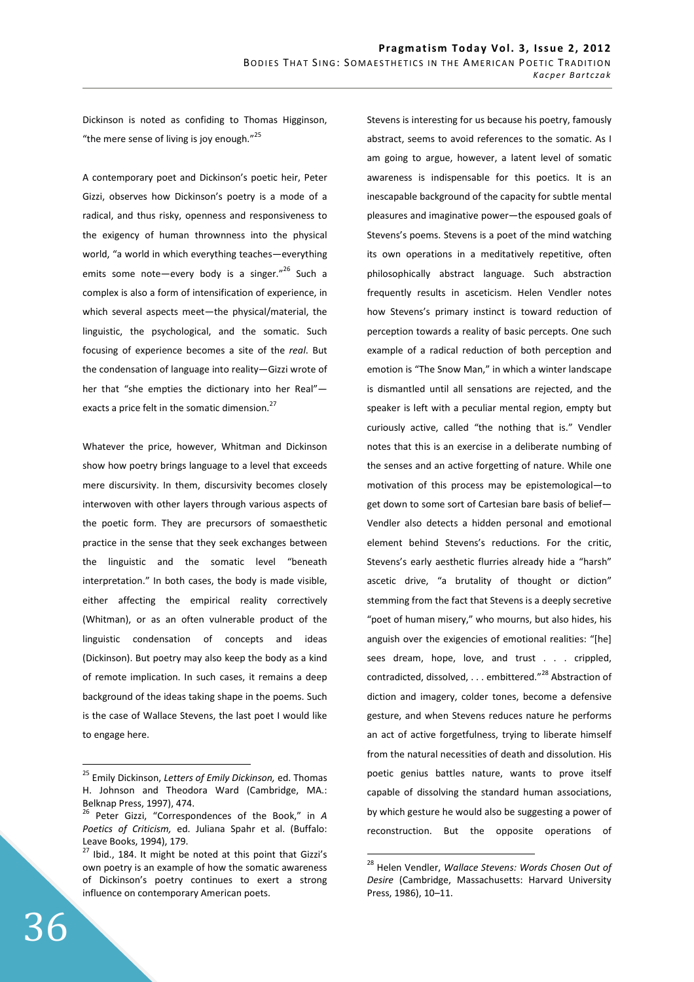Dickinson is noted as confiding to Thomas Higginson, "the mere sense of living is joy enough." $25$ 

A contemporary poet and Dickinson's poetic heir, Peter Gizzi, observes how Dickinson's poetry is a mode of a radical, and thus risky, openness and responsiveness to the exigency of human thrownness into the physical world, "a world in which everything teaches—everything emits some note—every body is a singer."<sup>26</sup> Such a complex is also a form of intensification of experience, in which several aspects meet—the physical/material, the linguistic, the psychological, and the somatic. Such focusing of experience becomes a site of the *real*. But the condensation of language into reality—Gizzi wrote of her that "she empties the dictionary into her Real" exacts a price felt in the somatic dimension.<sup>27</sup>

Whatever the price, however, Whitman and Dickinson show how poetry brings language to a level that exceeds mere discursivity. In them, discursivity becomes closely interwoven with other layers through various aspects of the poetic form. They are precursors of somaesthetic practice in the sense that they seek exchanges between the linguistic and the somatic level "beneath interpretation." In both cases, the body is made visible, either affecting the empirical reality correctively (Whitman), or as an often vulnerable product of the linguistic condensation of concepts and ideas (Dickinson). But poetry may also keep the body as a kind of remote implication. In such cases, it remains a deep background of the ideas taking shape in the poems. Such is the case of Wallace Stevens, the last poet I would like to engage here.

Stevens is interesting for us because his poetry, famously abstract, seems to avoid references to the somatic. As I am going to argue, however, a latent level of somatic awareness is indispensable for this poetics. It is an inescapable background of the capacity for subtle mental pleasures and imaginative power—the espoused goals of Stevens's poems. Stevens is a poet of the mind watching its own operations in a meditatively repetitive, often philosophically abstract language. Such abstraction frequently results in asceticism. Helen Vendler notes how Stevens's primary instinct is toward reduction of perception towards a reality of basic percepts. One such example of a radical reduction of both perception and emotion is "The Snow Man," in which a winter landscape is dismantled until all sensations are rejected, and the speaker is left with a peculiar mental region, empty but curiously active, called "the nothing that is." Vendler notes that this is an exercise in a deliberate numbing of the senses and an active forgetting of nature. While one motivation of this process may be epistemological—to get down to some sort of Cartesian bare basis of belief— Vendler also detects a hidden personal and emotional element behind Stevens's reductions. For the critic, Stevens's early aesthetic flurries already hide a "harsh" ascetic drive, "a brutality of thought or diction" stemming from the fact that Stevens is a deeply secretive "poet of human misery," who mourns, but also hides, his anguish over the exigencies of emotional realities: "[he] sees dream, hope, love, and trust . . . crippled, contradicted, dissolved, . . . embittered."<sup>28</sup> Abstraction of diction and imagery, colder tones, become a defensive gesture, and when Stevens reduces nature he performs an act of active forgetfulness, trying to liberate himself from the natural necessities of death and dissolution. His poetic genius battles nature, wants to prove itself capable of dissolving the standard human associations, by which gesture he would also be suggesting a power of reconstruction. But the opposite operations of

 $\overline{a}$ 

<sup>25</sup> Emily Dickinson, *Letters of Emily Dickinson,* ed. Thomas H. Johnson and Theodora Ward (Cambridge, MA.: Belknap Press, 1997), 474.

<sup>26</sup> Peter Gizzi, "Correspondences of the Book," in *A Poetics of Criticism,* ed. Juliana Spahr et al. (Buffalo: Leave Books, 1994), 179.

<sup>&</sup>lt;sup>27</sup> Ibid., 184. It might be noted at this point that Gizzi's own poetry is an example of how the somatic awareness of Dickinson's poetry continues to exert a strong influence on contemporary American poets.

<sup>28</sup> Helen Vendler, *Wallace Stevens: Words Chosen Out of Desire* (Cambridge, Massachusetts: Harvard University Press, 1986), 10–11.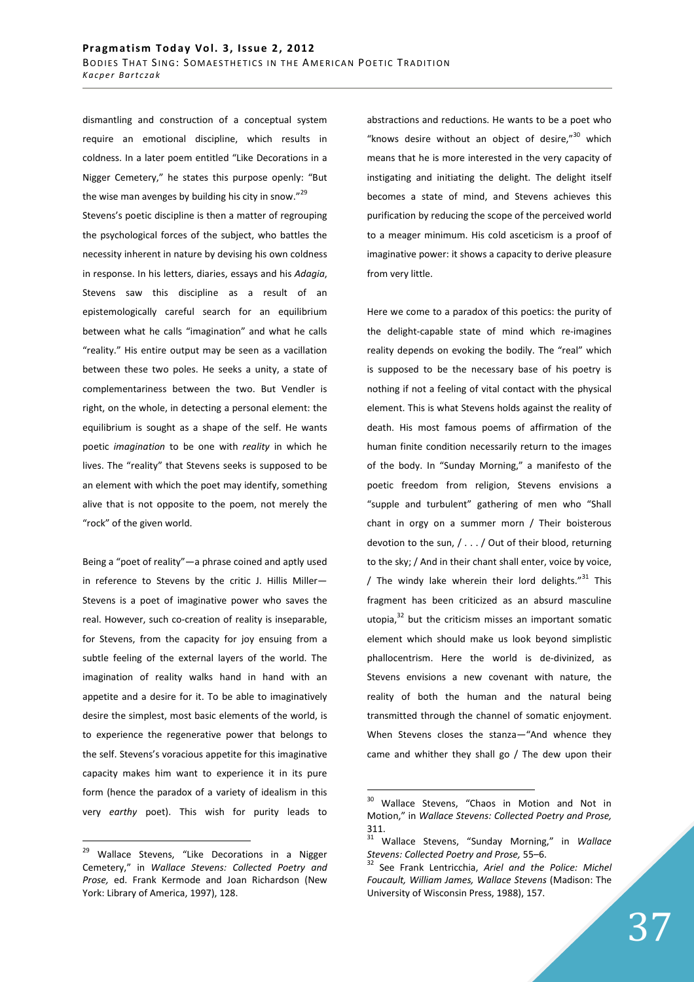dismantling and construction of a conceptual system require an emotional discipline, which results in coldness. In a later poem entitled "Like Decorations in a Nigger Cemetery," he states this purpose openly: "But the wise man avenges by building his city in snow."<sup>29</sup> Stevens's poetic discipline is then a matter of regrouping the psychological forces of the subject, who battles the necessity inherent in nature by devising his own coldness in response. In his letters, diaries, essays and his *Adagia*, Stevens saw this discipline as a result of an epistemologically careful search for an equilibrium between what he calls "imagination" and what he calls "reality." His entire output may be seen as a vacillation between these two poles. He seeks a unity, a state of complementariness between the two. But Vendler is right, on the whole, in detecting a personal element: the equilibrium is sought as a shape of the self. He wants poetic *imagination* to be one with *reality* in which he lives. The "reality" that Stevens seeks is supposed to be an element with which the poet may identify, something alive that is not opposite to the poem, not merely the "rock" of the given world.

Being a "poet of reality"—a phrase coined and aptly used in reference to Stevens by the critic J. Hillis Miller— Stevens is a poet of imaginative power who saves the real. However, such co-creation of reality is inseparable, for Stevens, from the capacity for joy ensuing from a subtle feeling of the external layers of the world. The imagination of reality walks hand in hand with an appetite and a desire for it. To be able to imaginatively desire the simplest, most basic elements of the world, is to experience the regenerative power that belongs to the self. Stevens's voracious appetite for this imaginative capacity makes him want to experience it in its pure form (hence the paradox of a variety of idealism in this very *earthy* poet). This wish for purity leads to

<sup>29</sup> Wallace Stevens, "Like Decorations in a Nigger Cemetery," in *Wallace Stevens: Collected Poetry and Prose,* ed. Frank Kermode and Joan Richardson (New York: Library of America, 1997), 128.

 $\overline{a}$ 

abstractions and reductions. He wants to be a poet who "knows desire without an object of desire," $30$  which means that he is more interested in the very capacity of instigating and initiating the delight. The delight itself becomes a state of mind, and Stevens achieves this purification by reducing the scope of the perceived world to a meager minimum. His cold asceticism is a proof of imaginative power: it shows a capacity to derive pleasure from very little.

Here we come to a paradox of this poetics: the purity of the delight-capable state of mind which re-imagines reality depends on evoking the bodily. The "real" which is supposed to be the necessary base of his poetry is nothing if not a feeling of vital contact with the physical element. This is what Stevens holds against the reality of death. His most famous poems of affirmation of the human finite condition necessarily return to the images of the body. In "Sunday Morning," a manifesto of the poetic freedom from religion, Stevens envisions a "supple and turbulent" gathering of men who "Shall chant in orgy on a summer morn / Their boisterous devotion to the sun, / . . . / Out of their blood, returning to the sky; / And in their chant shall enter, voice by voice, / The windy lake wherein their lord delights." $31$  This fragment has been criticized as an absurd masculine utopia, $32$  but the criticism misses an important somatic element which should make us look beyond simplistic phallocentrism. Here the world is de-divinized, as Stevens envisions a new covenant with nature, the reality of both the human and the natural being transmitted through the channel of somatic enjoyment. When Stevens closes the stanza—"And whence they came and whither they shall go / The dew upon their

 $30<sup>°</sup>$ Wallace Stevens, "Chaos in Motion and Not in Motion," in *Wallace Stevens: Collected Poetry and Prose,*  311.

<sup>31</sup> Wallace Stevens, "Sunday Morning," in *Wallace Stevens: Collected Poetry and Prose,* 55–6.

<sup>32</sup> See Frank Lentricchia, *Ariel and the Police: Michel Foucault, William James, Wallace Stevens* (Madison: The University of Wisconsin Press, 1988), 157.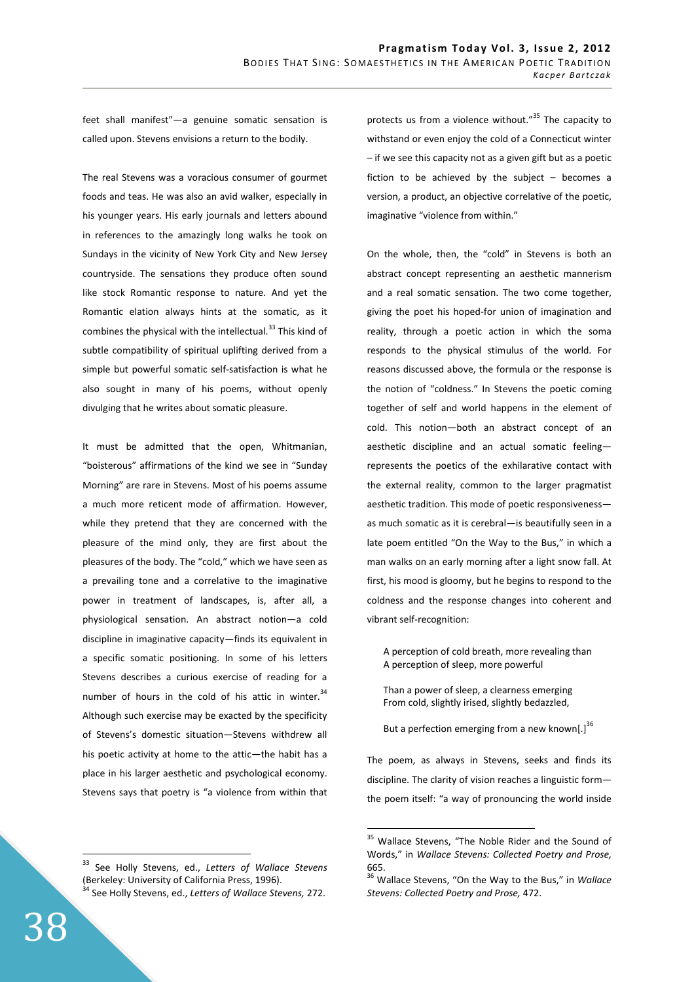feet shall manifest"—a genuine somatic sensation is called upon. Stevens envisions a return to the bodily.

The real Stevens was a voracious consumer of gourmet foods and teas. He was also an avid walker, especially in his younger years. His early journals and letters abound in references to the amazingly long walks he took on Sundays in the vicinity of New York City and New Jersey countryside. The sensations they produce often sound like stock Romantic response to nature. And yet the Romantic elation always hints at the somatic, as it combines the physical with the intellectual. $33$  This kind of subtle compatibility of spiritual uplifting derived from a simple but powerful somatic self-satisfaction is what he also sought in many of his poems, without openly divulging that he writes about somatic pleasure.

It must be admitted that the open, Whitmanian, "boisterous" affirmations of the kind we see in "Sunday Morning" are rare in Stevens. Most of his poems assume a much more reticent mode of affirmation. However, while they pretend that they are concerned with the pleasure of the mind only, they are first about the pleasures of the body. The "cold," which we have seen as a prevailing tone and a correlative to the imaginative power in treatment of landscapes, is, after all, a physiological sensation. An abstract notion—a cold discipline in imaginative capacity—finds its equivalent in a specific somatic positioning. In some of his letters Stevens describes a curious exercise of reading for a number of hours in the cold of his attic in winter.<sup>34</sup> Although such exercise may be exacted by the specificity of Stevens's domestic situation—Stevens withdrew all his poetic activity at home to the attic—the habit has a place in his larger aesthetic and psychological economy. Stevens says that poetry is "a violence from within that

protects us from a violence without."<sup>35</sup> The capacity to withstand or even enjoy the cold of a Connecticut winter – if we see this capacity not as a given gift but as a poetic fiction to be achieved by the subject – becomes a version, a product, an objective correlative of the poetic, imaginative "violence from within."

On the whole, then, the "cold" in Stevens is both an abstract concept representing an aesthetic mannerism and a real somatic sensation. The two come together, giving the poet his hoped-for union of imagination and reality, through a poetic action in which the soma responds to the physical stimulus of the world. For reasons discussed above, the formula or the response is the notion of "coldness." In Stevens the poetic coming together of self and world happens in the element of cold. This notion—both an abstract concept of an aesthetic discipline and an actual somatic feeling represents the poetics of the exhilarative contact with the external reality, common to the larger pragmatist aesthetic tradition. This mode of poetic responsiveness as much somatic as it is cerebral—is beautifully seen in a late poem entitled "On the Way to the Bus," in which a man walks on an early morning after a light snow fall. At first, his mood is gloomy, but he begins to respond to the coldness and the response changes into coherent and vibrant self-recognition:

A perception of cold breath, more revealing than A perception of sleep, more powerful

Than a power of sleep, a clearness emerging From cold, slightly irised, slightly bedazzled,

But a perfection emerging from a new known[.] $^{36}$ 

The poem, as always in Stevens, seeks and finds its discipline. The clarity of vision reaches a linguistic form the poem itself: "a way of pronouncing the world inside

<sup>33</sup> See Holly Stevens, ed., *Letters of Wallace Stevens*  (Berkeley: University of California Press, 1996). <sup>1</sup> See Holly Stevens, ed., *Letters of Wallace Stevens,* 272.

<sup>35</sup> <sup>35</sup> Wallace Stevens, "The Noble Rider and the Sound of Words," in *Wallace Stevens: Collected Poetry and Prose,*  665.

<sup>36</sup> Wallace Stevens, "On the Way to the Bus," in *Wallace Stevens: Collected Poetry and Prose,* 472.